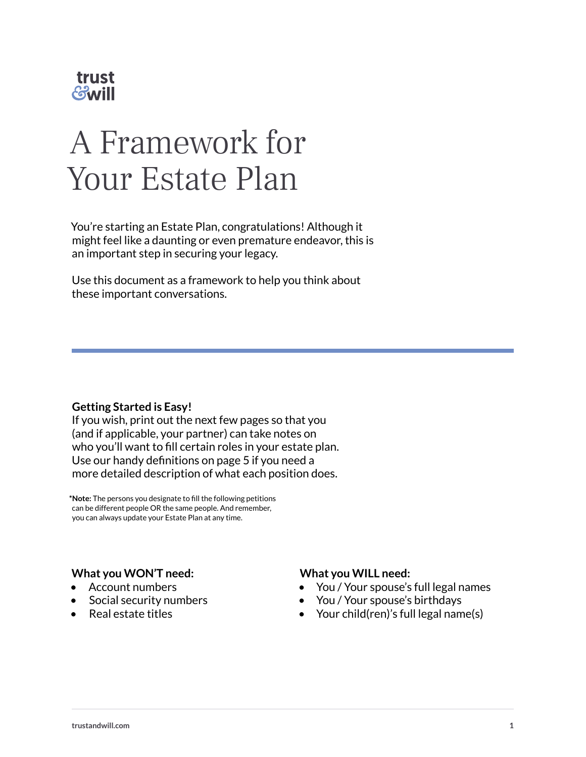

# A Framework for Your Estate Plan

You're starting an Estate Plan, congratulations! Although it might feel like a daunting or even premature endeavor, this is an important step in securing your legacy.

Use this document as a framework to help you think about these important conversations.

#### **Getting Started is Easy!**

If you wish, print out the next few pages so that you (and if applicable, your partner) can take notes on who you'll want to fill certain roles in your estate plan. Use our handy definitions on page 5 if you need a more detailed description of what each position does.

**\*Note:** The persons you designate to fill the following petitions can be different people OR the same people. And remember, you can always update your Estate Plan at any time.

#### **What you WON'T need:**

- Account numbers
- Social security numbers
- Real estate titles

#### **What you WILL need:**

- You / Your spouse's full legal names
- You / Your spouse's birthdays
- Your child(ren)'s full legal name(s)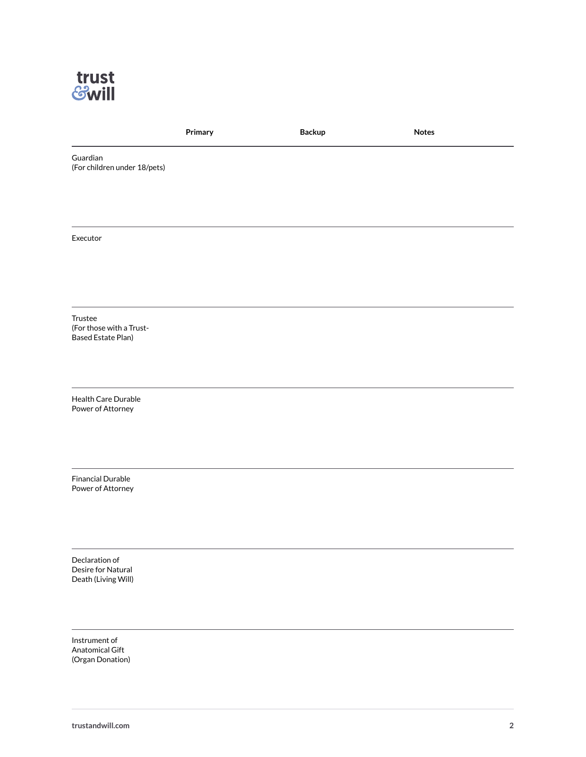

|                                                                  | Primary | <b>Backup</b> | <b>Notes</b> |
|------------------------------------------------------------------|---------|---------------|--------------|
| Guardian<br>(For children under 18/pets)                         |         |               |              |
|                                                                  |         |               |              |
| Executor                                                         |         |               |              |
|                                                                  |         |               |              |
| Trustee<br>(For those with a Trust-<br><b>Based Estate Plan)</b> |         |               |              |
| Health Care Durable<br>Power of Attorney                         |         |               |              |
| <b>Financial Durable</b><br>Power of Attorney                    |         |               |              |
| Declaration of<br>Desire for Natural<br>Death (Living Will)      |         |               |              |
| Instrument of<br>Anatomical Gift<br>(Organ Donation)             |         |               |              |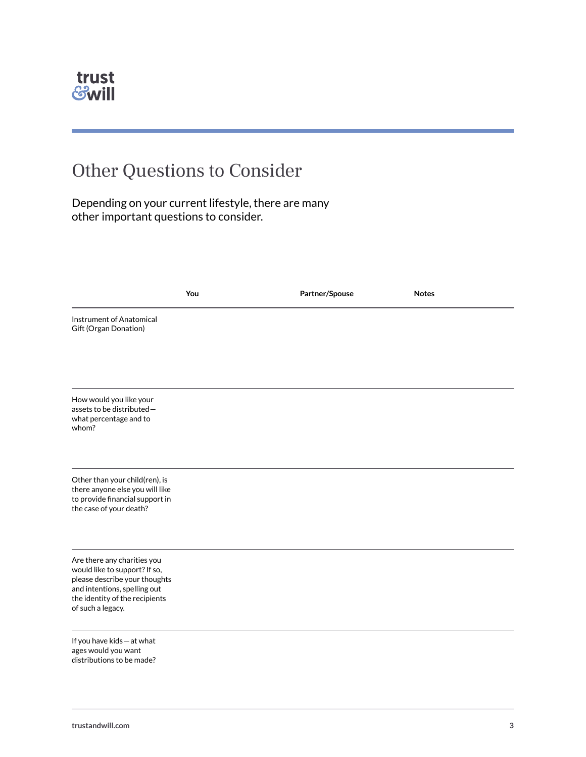

### Other Questions to Consider

Depending on your current lifestyle, there are many other important questions to consider.

|                                                                                                                                                                                      | You | Partner/Spouse | <b>Notes</b> |
|--------------------------------------------------------------------------------------------------------------------------------------------------------------------------------------|-----|----------------|--------------|
| <b>Instrument of Anatomical</b><br>Gift (Organ Donation)                                                                                                                             |     |                |              |
| How would you like your<br>assets to be distributed-<br>what percentage and to<br>whom?                                                                                              |     |                |              |
| Other than your child(ren), is<br>there anyone else you will like<br>to provide financial support in<br>the case of your death?                                                      |     |                |              |
| Are there any charities you<br>would like to support? If so,<br>please describe your thoughts<br>and intentions, spelling out<br>the identity of the recipients<br>of such a legacy. |     |                |              |
| If you have kids - at what<br>ages would you want<br>distributions to be made?                                                                                                       |     |                |              |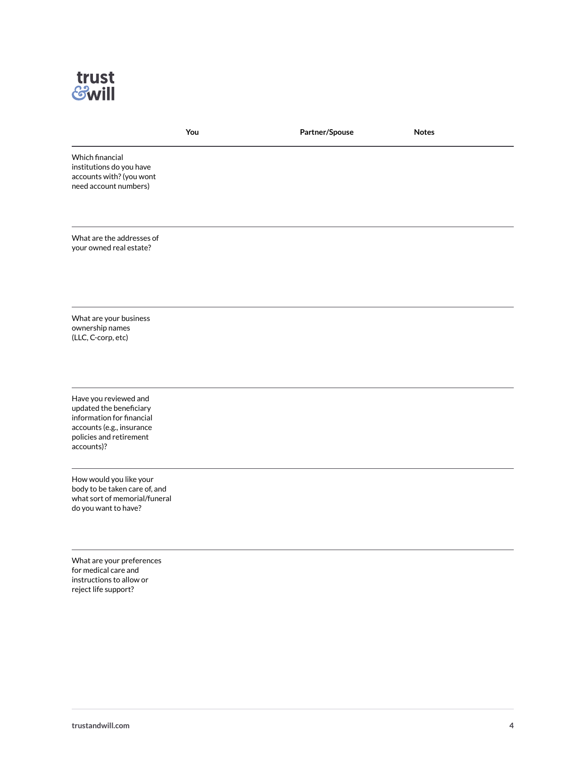

| You                                                                                                                                                 | Partner/Spouse | <b>Notes</b> |
|-----------------------------------------------------------------------------------------------------------------------------------------------------|----------------|--------------|
| Which financial<br>institutions do you have<br>accounts with? (you wont<br>need account numbers)                                                    |                |              |
| What are the addresses of<br>your owned real estate?                                                                                                |                |              |
| What are your business<br>ownership names<br>(LLC, C-corp, etc)                                                                                     |                |              |
| Have you reviewed and<br>updated the beneficiary<br>information for financial<br>accounts (e.g., insurance<br>policies and retirement<br>accounts)? |                |              |
| How would you like your<br>body to be taken care of, and<br>what sort of memorial/funeral<br>do you want to have?                                   |                |              |
| What are your preferences<br>for medical care and<br>instructions to allow or<br>reject life support?                                               |                |              |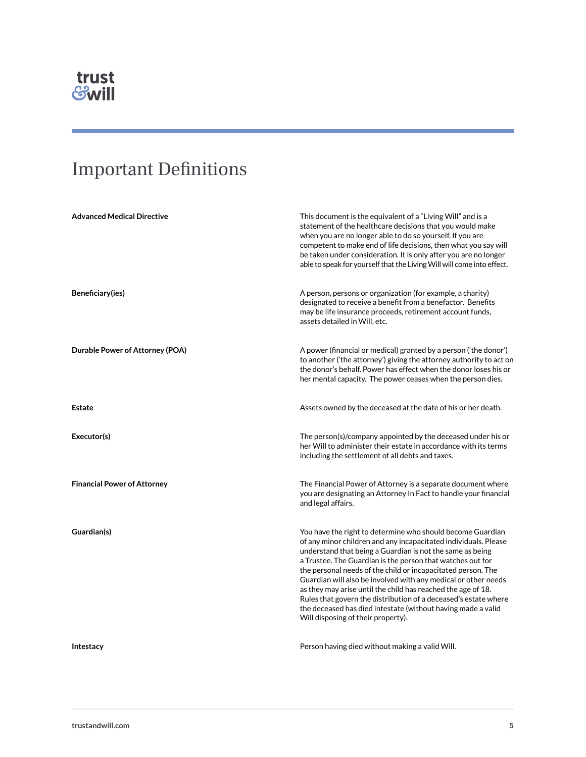

## Important Definitions

| <b>Advanced Medical Directive</b>  | This document is the equivalent of a "Living Will" and is a<br>statement of the healthcare decisions that you would make<br>when you are no longer able to do so yourself. If you are<br>competent to make end of life decisions, then what you say will<br>be taken under consideration. It is only after you are no longer<br>able to speak for yourself that the Living Will will come into effect.                                                                                                                                                                                                                              |
|------------------------------------|-------------------------------------------------------------------------------------------------------------------------------------------------------------------------------------------------------------------------------------------------------------------------------------------------------------------------------------------------------------------------------------------------------------------------------------------------------------------------------------------------------------------------------------------------------------------------------------------------------------------------------------|
| Beneficiary(ies)                   | A person, persons or organization (for example, a charity)<br>designated to receive a benefit from a benefactor. Benefits<br>may be life insurance proceeds, retirement account funds,<br>assets detailed in Will, etc.                                                                                                                                                                                                                                                                                                                                                                                                             |
| Durable Power of Attorney (POA)    | A power (financial or medical) granted by a person ('the donor')<br>to another ('the attorney') giving the attorney authority to act on<br>the donor's behalf. Power has effect when the donor loses his or<br>her mental capacity. The power ceases when the person dies.                                                                                                                                                                                                                                                                                                                                                          |
| Estate                             | Assets owned by the deceased at the date of his or her death.                                                                                                                                                                                                                                                                                                                                                                                                                                                                                                                                                                       |
| Executor(s)                        | The person(s)/company appointed by the deceased under his or<br>her Will to administer their estate in accordance with its terms<br>including the settlement of all debts and taxes.                                                                                                                                                                                                                                                                                                                                                                                                                                                |
| <b>Financial Power of Attorney</b> | The Financial Power of Attorney is a separate document where<br>you are designating an Attorney In Fact to handle your financial<br>and legal affairs.                                                                                                                                                                                                                                                                                                                                                                                                                                                                              |
| Guardian(s)                        | You have the right to determine who should become Guardian<br>of any minor children and any incapacitated individuals. Please<br>understand that being a Guardian is not the same as being<br>a Trustee. The Guardian is the person that watches out for<br>the personal needs of the child or incapacitated person. The<br>Guardian will also be involved with any medical or other needs<br>as they may arise until the child has reached the age of 18.<br>Rules that govern the distribution of a deceased's estate where<br>the deceased has died intestate (without having made a valid<br>Will disposing of their property). |
| Intestacy                          | Person having died without making a valid Will.                                                                                                                                                                                                                                                                                                                                                                                                                                                                                                                                                                                     |